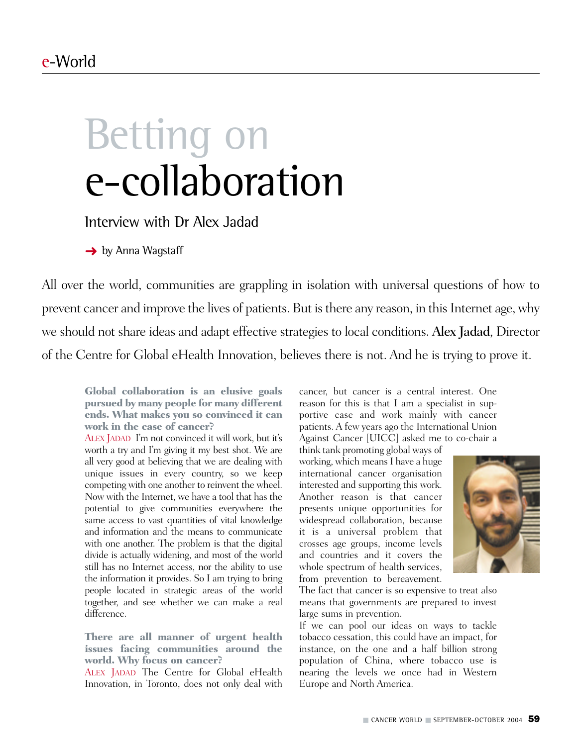# Betting on e-collaboration

Interview with Dr Alex Jadad

**→** by Anna Wagstaff

All over the world, communities are grappling in isolation with universal questions of how to prevent cancer and improve the lives of patients. But is there any reason, in this Internet age, why we should not share ideas and adapt effective strategies to local conditions. Alex Jadad, Director of the Centre for Global eHealth Innovation, believes there is not. And he is trying to prove it.

**Global collaboration is an elusive goals pursued by many people for many different ends. What makes you so convinced it can work in the case of cancer?** 

ALEX JADAD I'm not convinced it will work, but it's worth a try and I'm giving it my best shot. We are all very good at believing that we are dealing with unique issues in every country, so we keep competing with one another to reinvent the wheel. Now with the Internet, we have a tool that has the potential to give communities everywhere the same access to vast quantities of vital knowledge and information and the means to communicate with one another. The problem is that the digital divide is actually widening, and most of the world still has no Internet access, nor the ability to use the information it provides. So I am trying to bring people located in strategic areas of the world together, and see whether we can make a real difference.

**There are all manner of urgent health issues facing communities around the world. Why focus on cancer?**

ALEX JADAD The Centre for Global eHealth Innovation, in Toronto, does not only deal with

cancer, but cancer is a central interest. One reason for this is that I am a specialist in supportive case and work mainly with cancer patients. A few years ago the International Union Against Cancer [UICC] asked me to co-chair a

think tank promoting global ways of working, which means I have a huge international cancer organisation interested and supporting this work. Another reason is that cancer presents unique opportunities for widespread collaboration, because it is a universal problem that crosses age groups, income levels and countries and it covers the whole spectrum of health services, from prevention to bereavement.



The fact that cancer is so expensive to treat also means that governments are prepared to invest large sums in prevention.

If we can pool our ideas on ways to tackle tobacco cessation, this could have an impact, for instance, on the one and a half billion strong population of China, where tobacco use is nearing the levels we once had in Western Europe and North America.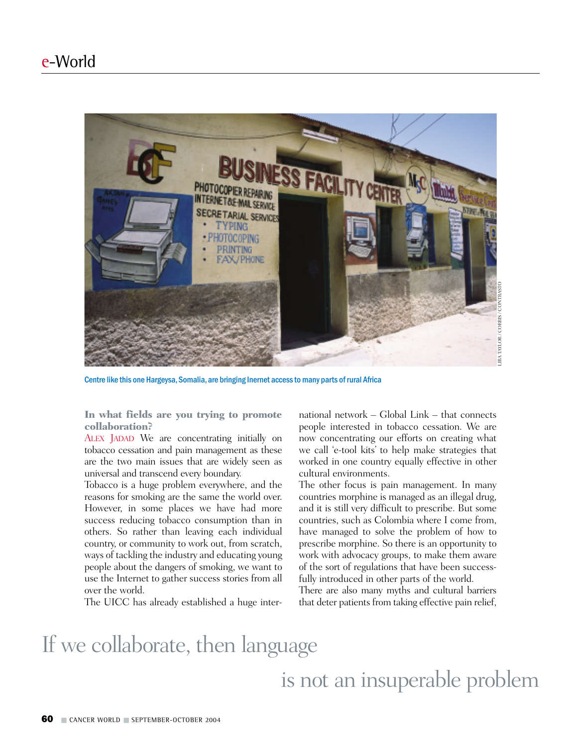

Centre like this one Hargeysa, Somalia, are bringing Inernet access to many parts of rural Africa

**In what fields are you trying to promote collaboration?**

ALEX JADAD We are concentrating initially on tobacco cessation and pain management as these are the two main issues that are widely seen as universal and transcend every boundary.

Tobacco is a huge problem everywhere, and the reasons for smoking are the same the world over. However, in some places we have had more success reducing tobacco consumption than in others. So rather than leaving each individual country, or community to work out, from scratch, ways of tackling the industry and educating young people about the dangers of smoking, we want to use the Internet to gather success stories from all over the world.

The UICC has already established a huge inter-

national network – Global Link – that connects people interested in tobacco cessation. We are now concentrating our efforts on creating what we call 'e-tool kits' to help make strategies that worked in one country equally effective in other cultural environments.

The other focus is pain management. In many countries morphine is managed as an illegal drug, and it is still very difficult to prescribe. But some countries, such as Colombia where I come from, have managed to solve the problem of how to prescribe morphine. So there is an opportunity to work with advocacy groups, to make them aware of the sort of regulations that have been successfully introduced in other parts of the world.

There are also many myths and cultural barriers that deter patients from taking effective pain relief,

### If we collaborate, then language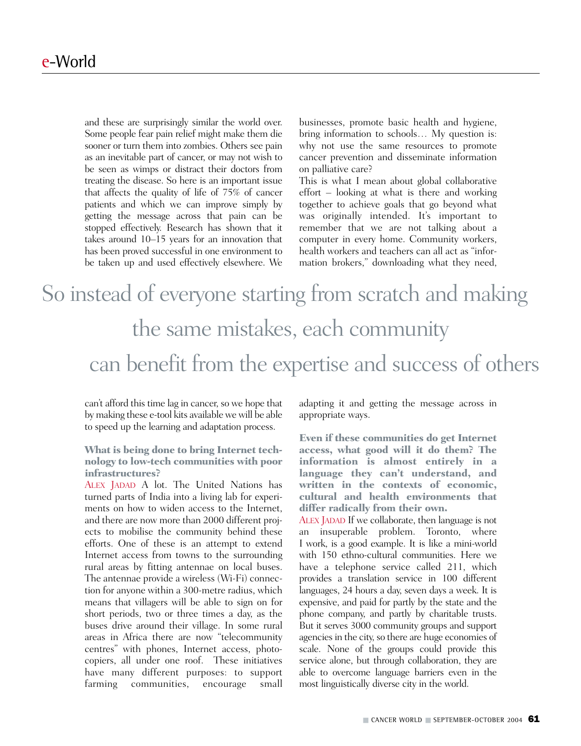and these are surprisingly similar the world over. Some people fear pain relief might make them die sooner or turn them into zombies. Others see pain as an inevitable part of cancer, or may not wish to be seen as wimps or distract their doctors from treating the disease. So here is an important issue that affects the quality of life of 75% of cancer patients and which we can improve simply by getting the message across that pain can be stopped effectively. Research has shown that it takes around 10–15 years for an innovation that has been proved successful in one environment to be taken up and used effectively elsewhere. We

businesses, promote basic health and hygiene, bring information to schools… My question is: why not use the same resources to promote cancer prevention and disseminate information on palliative care?

This is what I mean about global collaborative effort – looking at what is there and working together to achieve goals that go beyond what was originally intended. It's important to remember that we are not talking about a computer in every home. Community workers, health workers and teachers can all act as "information brokers," downloading what they need,

## So instead of everyone starting from scratch and making the same mistakes, each community can benefit from the expertise and success of others

can't afford this time lag in cancer, so we hope that by making these e-tool kits available we will be able to speed up the learning and adaptation process.

#### **What is being done to bring Internet technology to low-tech communities with poor infrastructures?**

ALEX JADAD A lot. The United Nations has turned parts of India into a living lab for experiments on how to widen access to the Internet, and there are now more than 2000 different projects to mobilise the community behind these efforts. One of these is an attempt to extend Internet access from towns to the surrounding rural areas by fitting antennae on local buses. The antennae provide a wireless (Wi-Fi) connection for anyone within a 300-metre radius, which means that villagers will be able to sign on for short periods, two or three times a day, as the buses drive around their village. In some rural areas in Africa there are now "telecommunity centres" with phones, Internet access, photocopiers, all under one roof. These initiatives have many different purposes: to support farming communities, encourage small

adapting it and getting the message across in appropriate ways.

**Even if these communities do get Internet access, what good will it do them? The information is almost entirely in a language they can't understand, and written in the contexts of economic, cultural and health environments that differ radically from their own.** 

ALEX JADAD If we collaborate, then language is not an insuperable problem. Toronto, where I work, is a good example. It is like a mini-world with 150 ethno-cultural communities. Here we have a telephone service called 211, which provides a translation service in 100 different languages, 24 hours a day, seven days a week. It is expensive, and paid for partly by the state and the phone company, and partly by charitable trusts. But it serves 3000 community groups and support agencies in the city, so there are huge economies of scale. None of the groups could provide this service alone, but through collaboration, they are able to overcome language barriers even in the most linguistically diverse city in the world.